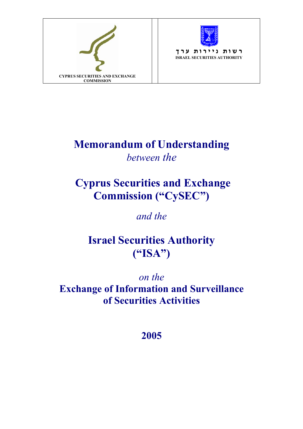



**ר ש ו ת נ י י ר ו ת ע ר ך ISRAEL SECURITIES AUTHORITY**

# **Memorandum of Understanding**  *between the*

### **Cyprus Securities and Exchange Commission ("CySEC")**

*and the* 

### **Israel Securities Authority ("ISA")**

*on the*  **Exchange of Information and Surveillance of Securities Activities** 

**2005**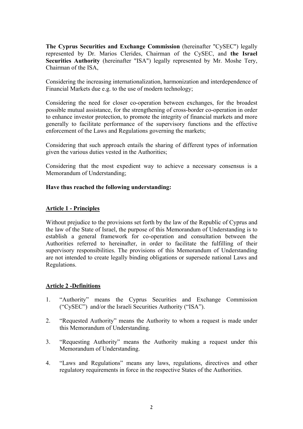**The Cyprus Securities and Exchange Commission** (hereinafter "CySEC") legally represented by Dr. Marios Clerides, Chairman of the CySEC, and **the Israel Securities Authority** (hereinafter "ISA") legally represented by Mr. Moshe Tery, Chairman of the ISA,

Considering the increasing internationalization, harmonization and interdependence of Financial Markets due e.g. to the use of modern technology;

Considering the need for closer co-operation between exchanges, for the broadest possible mutual assistance, for the strengthening of cross-border co-operation in order to enhance investor protection, to promote the integrity of financial markets and more generally to facilitate performance of the supervisory functions and the effective enforcement of the Laws and Regulations governing the markets;

Considering that such approach entails the sharing of different types of information given the various duties vested in the Authorities;

Considering that the most expedient way to achieve a necessary consensus is a Memorandum of Understanding;

#### **Have thus reached the following understanding:**

#### **Article 1 - Principles**

Without prejudice to the provisions set forth by the law of the Republic of Cyprus and the law of the State of Israel, the purpose of this Memorandum of Understanding is to establish a general framework for co-operation and consultation between the Authorities referred to hereinafter, in order to facilitate the fulfilling of their supervisory responsibilities. The provisions of this Memorandum of Understanding are not intended to create legally binding obligations or supersede national Laws and Regulations.

#### **Article 2 -Definitions**

- 1. "Authority" means the Cyprus Securities and Exchange Commission ("CySEC") and/or the Israeli Securities Authority ("ISA").
- 2. "Requested Authority" means the Authority to whom a request is made under this Memorandum of Understanding.
- 3. "Requesting Authority" means the Authority making a request under this Memorandum of Understanding.
- 4. "Laws and Regulations" means any laws, regulations, directives and other regulatory requirements in force in the respective States of the Authorities.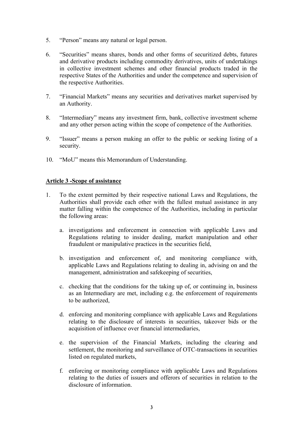- 5. "Person" means any natural or legal person.
- 6. "Securities" means shares, bonds and other forms of securitized debts, futures and derivative products including commodity derivatives, units of undertakings in collective investment schemes and other financial products traded in the respective States of the Authorities and under the competence and supervision of the respective Authorities.
- 7. "Financial Markets" means any securities and derivatives market supervised by an Authority.
- 8. "Intermediary" means any investment firm, bank, collective investment scheme and any other person acting within the scope of competence of the Authorities.
- 9. "Issuer" means a person making an offer to the public or seeking listing of a security.
- 10. "MoU" means this Memorandum of Understanding.

#### **Article 3 -Scope of assistance**

- 1. To the extent permitted by their respective national Laws and Regulations, the Authorities shall provide each other with the fullest mutual assistance in any matter falling within the competence of the Authorities, including in particular the following areas:
	- a. investigations and enforcement in connection with applicable Laws and Regulations relating to insider dealing, market manipulation and other fraudulent or manipulative practices in the securities field,
	- b. investigation and enforcement of, and monitoring compliance with, applicable Laws and Regulations relating to dealing in, advising on and the management, administration and safekeeping of securities,
	- c. checking that the conditions for the taking up of, or continuing in, business as an Intermediary are met, including e.g. the enforcement of requirements to be authorized,
	- d. enforcing and monitoring compliance with applicable Laws and Regulations relating to the disclosure of interests in securities, takeover bids or the acquisition of influence over financial intermediaries,
	- e. the supervision of the Financial Markets, including the clearing and settlement, the monitoring and surveillance of OTC-transactions in securities listed on regulated markets,
	- f. enforcing or monitoring compliance with applicable Laws and Regulations relating to the duties of issuers and offerors of securities in relation to the disclosure of information.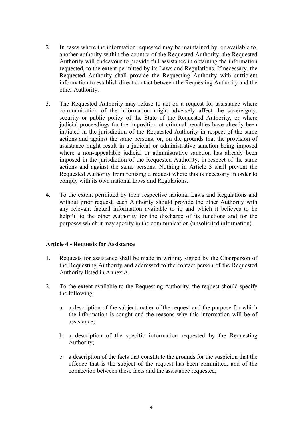- 2. In cases where the information requested may be maintained by, or available to, another authority within the country of the Requested Authority, the Requested Authority will endeavour to provide full assistance in obtaining the information requested, to the extent permitted by its Laws and Regulations. If necessary, the Requested Authority shall provide the Requesting Authority with sufficient information to establish direct contact between the Requesting Authority and the other Authority.
- 3. The Requested Authority may refuse to act on a request for assistance where communication of the information might adversely affect the sovereignty, security or public policy of the State of the Requested Authority, or where judicial proceedings for the imposition of criminal penalties have already been initiated in the jurisdiction of the Requested Authority in respect of the same actions and against the same persons, or, on the grounds that the provision of assistance might result in a judicial or administrative sanction being imposed where a non-appealable judicial or administrative sanction has already been imposed in the jurisdiction of the Requested Authority, in respect of the same actions and against the same persons. Nothing in Article 3 shall prevent the Requested Authority from refusing a request where this is necessary in order to comply with its own national Laws and Regulations.
- 4. To the extent permitted by their respective national Laws and Regulations and without prior request, each Authority should provide the other Authority with any relevant factual information available to it, and which it believes to be helpful to the other Authority for the discharge of its functions and for the purposes which it may specify in the communication (unsolicited information).

#### **Article 4 - Requests for Assistance**

- 1. Requests for assistance shall be made in writing, signed by the Chairperson of the Requesting Authority and addressed to the contact person of the Requested Authority listed in Annex A.
- 2. To the extent available to the Requesting Authority, the request should specify the following:
	- a. a description of the subject matter of the request and the purpose for which the information is sought and the reasons why this information will be of assistance;
	- b. a description of the specific information requested by the Requesting Authority;
	- c. a description of the facts that constitute the grounds for the suspicion that the offence that is the subject of the request has been committed, and of the connection between these facts and the assistance requested;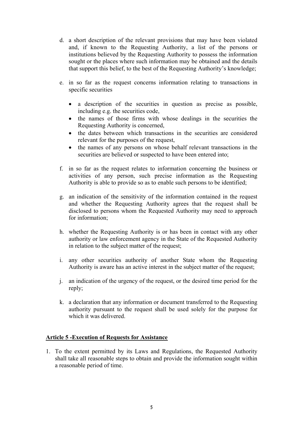- d. a short description of the relevant provisions that may have been violated and, if known to the Requesting Authority, a list of the persons or institutions believed by the Requesting Authority to possess the information sought or the places where such information may be obtained and the details that support this belief, to the best of the Requesting Authority's knowledge;
- e. in so far as the request concerns information relating to transactions in specific securities
	- a description of the securities in question as precise as possible, including e.g. the securities code,
	- the names of those firms with whose dealings in the securities the Requesting Authority is concerned,
	- the dates between which transactions in the securities are considered relevant for the purposes of the request,
	- the names of any persons on whose behalf relevant transactions in the securities are believed or suspected to have been entered into:
- f. in so far as the request relates to information concerning the business or activities of any person, such precise information as the Requesting Authority is able to provide so as to enable such persons to be identified;
- g. an indication of the sensitivity of the information contained in the request and whether the Requesting Authority agrees that the request shall be disclosed to persons whom the Requested Authority may need to approach for information;
- h. whether the Requesting Authority is or has been in contact with any other authority or law enforcement agency in the State of the Requested Authority in relation to the subject matter of the request;
- i. any other securities authority of another State whom the Requesting Authority is aware has an active interest in the subject matter of the request;
- j. an indication of the urgency of the request, or the desired time period for the reply;
- k. a declaration that any information or document transferred to the Requesting authority pursuant to the request shall be used solely for the purpose for which it was delivered.

#### **Article 5 -Execution of Requests for Assistance**

1. To the extent permitted by its Laws and Regulations, the Requested Authority shall take all reasonable steps to obtain and provide the information sought within a reasonable period of time.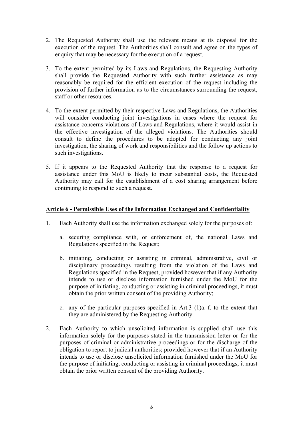- 2. The Requested Authority shall use the relevant means at its disposal for the execution of the request. The Authorities shall consult and agree on the types of enquiry that may be necessary for the execution of a request.
- 3. To the extent permitted by its Laws and Regulations, the Requesting Authority shall provide the Requested Authority with such further assistance as may reasonably be required for the efficient execution of the request including the provision of further information as to the circumstances surrounding the request, staff or other resources.
- 4. To the extent permitted by their respective Laws and Regulations, the Authorities will consider conducting joint investigations in cases where the request for assistance concerns violations of Laws and Regulations, where it would assist in the effective investigation of the alleged violations. The Authorities should consult to define the procedures to be adopted for conducting any joint investigation, the sharing of work and responsibilities and the follow up actions to such investigations.
- 5. If it appears to the Requested Authority that the response to a request for assistance under this MoU is likely to incur substantial costs, the Requested Authority may call for the establishment of a cost sharing arrangement before continuing to respond to such a request.

#### **Article 6 - Permissible Uses of the Information Exchanged and Confidentiality**

- 1. Each Authority shall use the information exchanged solely for the purposes of:
	- a. securing compliance with, or enforcement of, the national Laws and Regulations specified in the Request;
	- b. initiating, conducting or assisting in criminal, administrative, civil or disciplinary proceedings resulting from the violation of the Laws and Regulations specified in the Request, provided however that if any Authority intends to use or disclose information furnished under the MoU for the purpose of initiating, conducting or assisting in criminal proceedings, it must obtain the prior written consent of the providing Authority;
	- c. any of the particular purposes specified in Art.3 (1)a.-f. to the extent that they are administered by the Requesting Authority.
- 2. Each Authority to which unsolicited information is supplied shall use this information solely for the purposes stated in the transmission letter or for the purposes of criminal or administrative proceedings or for the discharge of the obligation to report to judicial authorities; provided however that if an Authority intends to use or disclose unsolicited information furnished under the MoU for the purpose of initiating, conducting or assisting in criminal proceedings, it must obtain the prior written consent of the providing Authority.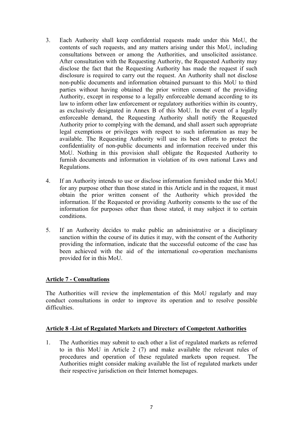- 3. Each Authority shall keep confidential requests made under this MoU, the contents of such requests, and any matters arising under this MoU, including consultations between or among the Authorities, and unsolicited assistance. After consultation with the Requesting Authority, the Requested Authority may disclose the fact that the Requesting Authority has made the request if such disclosure is required to carry out the request. An Authority shall not disclose non-public documents and information obtained pursuant to this MoU to third parties without having obtained the prior written consent of the providing Authority, except in response to a legally enforceable demand according to its law to inform other law enforcement or regulatory authorities within its country, as exclusively designated in Annex B of this MoU. In the event of a legally enforceable demand, the Requesting Authority shall notify the Requested Authority prior to complying with the demand, and shall assert such appropriate legal exemptions or privileges with respect to such information as may be available. The Requesting Authority will use its best efforts to protect the confidentiality of non-public documents and information received under this MoU. Nothing in this provision shall obligate the Requested Authority to furnish documents and information in violation of its own national Laws and Regulations.
- 4. If an Authority intends to use or disclose information furnished under this MoU for any purpose other than those stated in this Article and in the request, it must obtain the prior written consent of the Authority which provided the information. If the Requested or providing Authority consents to the use of the information for purposes other than those stated, it may subject it to certain conditions.
- 5. If an Authority decides to make public an administrative or a disciplinary sanction within the course of its duties it may, with the consent of the Authority providing the information, indicate that the successful outcome of the case has been achieved with the aid of the international co-operation mechanisms provided for in this MoU.

#### **Article 7 - Consultations**

The Authorities will review the implementation of this MoU regularly and may conduct consultations in order to improve its operation and to resolve possible difficulties.

#### **Article 8 -List of Regulated Markets and Directory of Competent Authorities**

1. The Authorities may submit to each other a list of regulated markets as referred to in this MoU in Article 2 (7) and make available the relevant rules of procedures and operation of these regulated markets upon request. The Authorities might consider making available the list of regulated markets under their respective jurisdiction on their Internet homepages.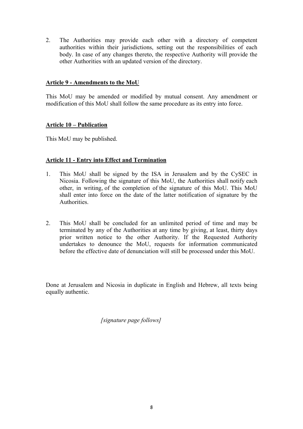2. The Authorities may provide each other with a directory of competent authorities within their jurisdictions, setting out the responsibilities of each body. In case of any changes thereto, the respective Authority will provide the other Authorities with an updated version of the directory.

#### **Article 9 - Amendments to the MoU**

This MoU may be amended or modified by mutual consent. Any amendment or modification of this MoU shall follow the same procedure as its entry into force.

#### **Article 10 – Publication**

This MoU may be published.

#### **Article 11 - Entry into Effect and Termination**

- 1. This MoU shall be signed by the ISA in Jerusalem and by the CySEC in Nicosia. Following the signature of this MoU, the Authorities shall notify each other, in writing, of the completion of the signature of this MoU. This MoU shall enter into force on the date of the latter notification of signature by the **Authorities**
- 2. This MoU shall be concluded for an unlimited period of time and may be terminated by any of the Authorities at any time by giving, at least, thirty days prior written notice to the other Authority. If the Requested Authority undertakes to denounce the MoU, requests for information communicated before the effective date of denunciation will still be processed under this MoU.

Done at Jerusalem and Nicosia in duplicate in English and Hebrew, all texts being equally authentic.

*[signature page follows]*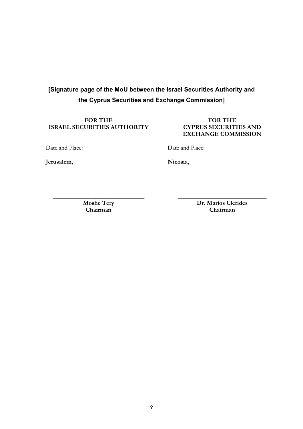### **[Signature page of the MoU between the Israel Securities Authority and the Cyprus Securities and Exchange Commission]**

# **ISRAEL SECURITIES AUTHORITY**

### FOR THE FOR THE **FOR THE**<br>URITIES AUTHORITY **FOR THE EXCHANGE COMMISSION**

Date and Place:

Date and Place:

**Jerusalem,** 

**Nicosia,** 

**Chairman Chairman** 

**\_\_\_\_\_\_\_\_\_\_\_\_\_\_\_\_\_\_\_\_\_\_\_\_\_\_\_\_\_\_** 

**\_\_\_\_\_\_\_\_\_\_\_\_\_\_\_\_\_\_\_\_\_\_\_\_\_\_\_\_\_\_ \_\_\_\_\_\_\_\_\_\_\_\_\_\_\_\_\_\_\_\_\_\_\_\_\_\_\_\_\_**  Moshe Tery **Dr. Marios Clerides**<br> **Dr. Marios Clerides**<br> **Chairman** 

**\_\_\_\_\_\_\_\_\_\_\_\_\_\_\_\_\_\_\_\_\_\_\_\_\_\_\_\_\_\_**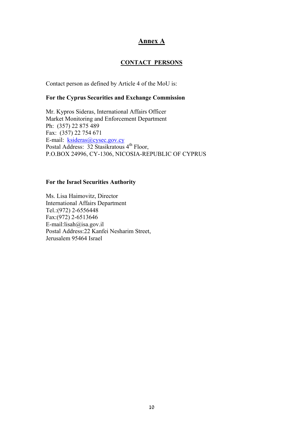#### **Annex A**

#### **CONTACT PERSONS**

Contact person as defined by Article 4 of the MoU is:

#### **For the Cyprus Securities and Exchange Commission**

Mr. Kypros Sideras, International Affairs Officer Market Monitoring and Enforcement Department Ph: (357) 22 875 489 Fax: (357) 22 754 671 E-mail: ksideras@cysec.gov.cy Postal Address:  $32$  Stasikratous  $4<sup>th</sup>$  Floor, P.O.BOX 24996, CY-1306, NICOSIA-REPUBLIC OF CYPRUS

#### **For the Israel Securities Authority**

Ms. Lisa Haimovitz, Director International Affairs Department Tel.:(972) 2-6556448 Fax:(972) 2-6513646 E-mail:lisah@isa.gov.il Postal Address:22 Kanfei Nesharim Street, Jerusalem 95464 Israel